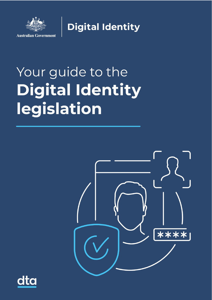

**Digital Identity** 

# Your guide to the **Digital Identity** legislation



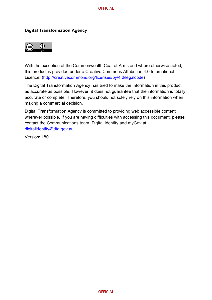#### **Digital Transformation Agency**



With the exception of the Commonwealth Coat of Arms and where otherwise noted, this product is provided under a Creative Commons Attribution 4.0 International Licence. [\(http://creativecommons.org/licenses/by/4.0/legalcode\)](http://creativecommons.org/licenses/by/4.0/legalcode)

The Digital Transformation Agency has tried to make the information in this product as accurate as possible. However, it does not guarantee that the information is totally accurate or complete. Therefore, you should not solely rely on this information when making a commercial decision.

Digital Transformation Agency is committed to providing web accessible content wherever possible. If you are having difficulties with accessing this document, please contact the Communications team, Digital Identity and myGov at [digitalidentity@dta.gov.au.](mailto:mailtodigitalidentity@dta.gov.au)

Version: 1801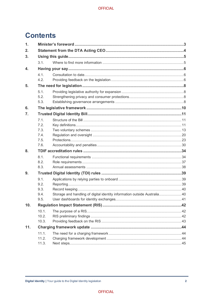# **Contents**

| $\mathbf 1$ . |                |                                                                          |  |
|---------------|----------------|--------------------------------------------------------------------------|--|
| 2.            |                |                                                                          |  |
| 3.            |                |                                                                          |  |
|               | 3.1.           |                                                                          |  |
| 4.            |                |                                                                          |  |
|               | 4.1.           |                                                                          |  |
|               | 4.2.           |                                                                          |  |
| 5.            |                |                                                                          |  |
|               | 5.1.           |                                                                          |  |
|               | 5.2.           |                                                                          |  |
|               | 5.3.           |                                                                          |  |
| 6.            |                |                                                                          |  |
| 7.            |                |                                                                          |  |
|               | 7.1.           |                                                                          |  |
|               | 7.2.           |                                                                          |  |
|               | 7.3.<br>7.4.   |                                                                          |  |
|               | 7.5.           |                                                                          |  |
|               | 7.6.           |                                                                          |  |
| 8.            |                |                                                                          |  |
|               | 8.1.           |                                                                          |  |
|               | 8.2.           |                                                                          |  |
|               | 8.3.           |                                                                          |  |
| 9.            |                |                                                                          |  |
|               | 9.1.           |                                                                          |  |
|               | 9.2.           |                                                                          |  |
|               | 9.3.           |                                                                          |  |
|               | 9.4.           | Storage and handling of digital identity information outside Australia40 |  |
|               | 9.5.           |                                                                          |  |
| 10.           |                |                                                                          |  |
|               | 10.1.<br>10.2. |                                                                          |  |
|               | 10.3.          |                                                                          |  |
| 11.           |                |                                                                          |  |
|               | 11.1.          |                                                                          |  |
|               | 11.2.          |                                                                          |  |
|               | 11.3.          |                                                                          |  |
|               |                |                                                                          |  |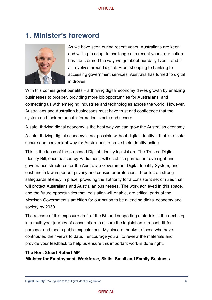## <span id="page-3-0"></span>**1. Minister's foreword**



As we have seen during recent years, Australians are keen and willing to adapt to challenges. In recent years, our nation has transformed the way we go about our daily lives – and it all revolves around digital. From shopping to banking to accessing government services, Australia has turned to digital in droves.

With this comes great benefits – a thriving digital economy drives growth by enabling businesses to prosper, providing more job opportunities for Australians, and connecting us with emerging industries and technologies across the world. However, Australians and Australian businesses must have trust and confidence that the system and their personal information is safe and secure.

A safe, thriving digital economy is the best way we can grow the Australian economy.

A safe, thriving digital economy is not possible without digital identity – that is, a safe, secure and convenient way for Australians to prove their identity online.

This is the focus of the proposed Digital Identity legislation. The Trusted Digital Identity Bill, once passed by Parliament, will establish permanent oversight and governance structures for the Australian Government Digital Identity System, and enshrine in law important privacy and consumer protections. It builds on strong safeguards already in place, providing the authority for a consistent set of rules that will protect Australians and Australian businesses. The work achieved in this space, and the future opportunities that legislation will enable, are critical parts of the Morrison Government's ambition for our nation to be a leading digital economy and society by 2030.

The release of this exposure draft of the Bill and supporting materials is the next step in a multi-year journey of consultation to ensure the legislation is robust, fit-forpurpose, and meets public expectations. My sincere thanks to those who have contributed their views to date. I encourage you all to review the materials and provide your feedback to help us ensure this important work is done right.

#### **The Hon. Stuart Robert MP**

**Minister for Employment, Workforce, Skills, Small and Family Business**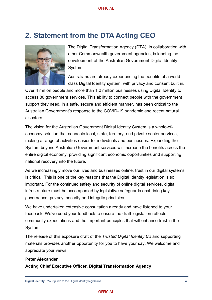# <span id="page-4-0"></span>**2. Statement from the DTA Acting CEO**



The Digital Transformation Agency (DTA), in collaboration with other Commonwealth government agencies, is leading the development of the Australian Government Digital Identity System.

Australians are already experiencing the benefits of a world class Digital Identity system, with privacy and consent built in.

Over 4 million people and more than 1.2 million businesses using Digital Identity to access 80 government services. This ability to connect people with the government support they need, in a safe, secure and efficient manner, has been critical to the Australian Government's response to the COVID-19 pandemic and recent natural disasters.

The vision for the Australian Government Digital Identity System is a whole-ofeconomy solution that connects local, state, territory, and private sector services, making a range of activities easier for individuals and businesses. Expanding the System beyond Australian Government services will increase the benefits across the entire digital economy, providing significant economic opportunities and supporting national recovery into the future.

As we increasingly move our lives and businesses online, trust in our digital systems is critical. This is one of the key reasons that the Digital Identity legislation is so important. For the continued safety and security of online digital services, digital infrastructure must be accompanied by legislative safeguards enshrining key governance, privacy, security and integrity principles.

We have undertaken extensive consultation already and have listened to your feedback. We've used your feedback to ensure the draft legislation reflects community expectations and the important principles that will enhance trust in the System.

The release of this exposure draft of the *Trusted Digital Identity Bill* and supporting materials provides another opportunity for you to have your say. We welcome and appreciate your views.

#### **Peter Alexander Acting Chief Executive Officer, Digital Transformation Agency**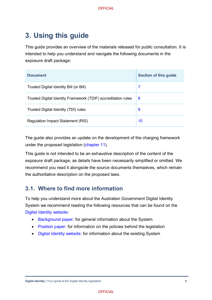# <span id="page-5-0"></span>**3. Using this guide**

This guide provides an overview of the materials released for public consultation. It is intended to help you understand and navigate the following documents in the exposure draft package:

| <b>Document</b>                                               | <b>Section of this guide</b> |
|---------------------------------------------------------------|------------------------------|
| Trusted Digital Identity Bill (or Bill)                       | 7                            |
| Trusted Digital Identity Framework (TDIF) accreditation rules | 8                            |
| Trusted Digital Identity (TDI) rules                          | 9                            |
| Regulation Impact Statement (RIS)                             | 10                           |

The guide also provides an update on the development of the charging framework under the proposed legislation [\(chapter](bookmark://Charging/) 11).

This guide is not intended to be an exhaustive description of the content of the exposure draft package, as details have been necessarily simplified or omitted. We recommend you read it alongside the source documents themselves, which remain the authoritative description on the proposed laws.

### <span id="page-5-1"></span>**3.1. Where to find more information**

To help you understand more about the Australian Government Digital Identity System we recommend reading the following resources that can be found on the [Digital Identity](https://www.digitalidentity.gov.au/) website:

- [Background paper:](https://www.digitalidentity.gov.au/have-your-say/phase-1-digital-identity-legislation/digital-identity-legislation-background-paper) for general information about the System
- [Position paper:](https://www.digitalidentity.gov.au/have-your-say/phase-2-digital-identity-legislation/digital-identity-legislation-position-paper) for information on the policies behind the legislation
- [Digital Identity website:](https://www.digitalidentity.gov.au/) for information about the existing System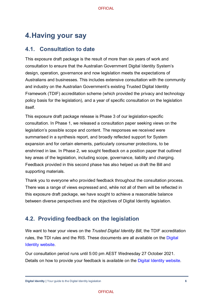# <span id="page-6-0"></span>**4.Having your say**

#### <span id="page-6-1"></span>**4.1. Consultation to date**

This exposure draft package is the result of more than six years of work and consultation to ensure that the Australian Government Digital Identity System's design, operation, governance and now legislation meets the expectations of Australians and businesses. This includes extensive consultation with the community and industry on the Australian Government's existing Trusted Digital Identity Framework (TDIF) accreditation scheme (which provided the privacy and technology policy basis for the legislation), and a year of specific consultation on the legislation itself.

This exposure draft package release is Phase 3 of our legislation-specific consultation. In Phase 1, we released a [consultation paper](https://www.digitalidentity.gov.au/have-your-say/phase-1-digital-identity-legislation/digital-identity-legislation-consultation-paper) seeking views on the legislation's possible scope and content. The responses we received were summarised in a [synthesis report,](https://www.digitalidentity.gov.au/have-your-say/phase-1-digital-identity-legislation/digital-identity-legislation-synthesis-report) and broadly reflected support for System expansion and for certain elements, particularly consumer protections, to be enshrined in law. In Phase 2, we sought feedback on a [position paper](https://www.digitalidentity.gov.au/have-your-say/phase-2-digital-identity-legislation/digital-identity-legislation-position-paper) that outlined key areas of the legislation, including scope, governance, liability and charging. Feedback provided in this second phase has also helped us draft the Bill and supporting materials.

Thank you to everyone who provided feedback throughout the consultation process. There was a range of views expressed and, while not all of them will be reflected in this exposure draft package, we have sought to achieve a reasonable balance between diverse perspectives and the objectives of Digital Identity legislation.

### <span id="page-6-2"></span>**4.2. Providing feedback on the legislation**

We want to hear your views on the *Trusted Digital Identity Bill*, the TDIF accreditation rules, the TDI rules and the RIS. These documents are all available on the [Digital](https://www.digitalidentity.gov.au/have-your-say)  [Identity website.](https://www.digitalidentity.gov.au/have-your-say)

Our consultation period runs until 5:00 pm AEST Wednesday 27 October 2021. Details on how to provide your feedback is available on the [Digital Identity website.](https://www.digitalidentity.gov.au/have-your-say/phase-3)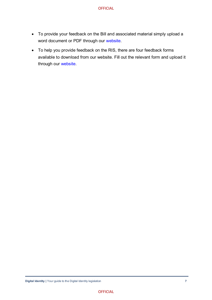- To provide your feedback on the Bill and associated material simply upload a word document or PDF through our [website.](https://www.digitalidentity.gov.au/have-your-say/phase-3)
- To help you provide feedback on the RIS, there are four feedback forms available to download from our website. Fill out the relevant form and upload it through our [website.](https://www.digitalidentity.gov.au/have-your-say/phase-3)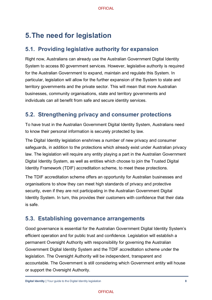# <span id="page-8-0"></span>**5.The need for legislation**

### <span id="page-8-1"></span>**5.1. Providing legislative authority for expansion**

Right now, Australians can already use the Australian Government Digital Identity System to access 80 government services. However, legislative authority is required for the Australian Government to expand, maintain and regulate this System. In particular, legislation will allow for the further expansion of the System to state and territory governments and the private sector. This will mean that more Australian businesses, community organisations, state and territory governments and individuals can all benefit from safe and secure identity services.

### <span id="page-8-2"></span>**5.2. Strengthening privacy and consumer protections**

To have trust in the Australian Government Digital Identity System, Australians need to know their personal information is securely protected by law.

The Digital Identity legislation enshrines a number of new privacy and consumer safeguards, in addition to the protections which already exist under Australian privacy law. The legislation will require any entity playing a part in the Australian Government Digital Identity System, as well as entities which choose to join the Trusted Digital Identity Framework (TDIF) accreditation scheme, to meet these protections.

The TDIF accreditation scheme offers an opportunity for Australian businesses and organisations to show they can meet high standards of privacy and protective security, even if they are not participating in the Australian Government Digital Identity System. In turn, this provides their customers with confidence that their data is safe.

### <span id="page-8-3"></span>**5.3. Establishing governance arrangements**

Good governance is essential for the Australian Government Digital Identity System's efficient operation and for public trust and confidence. Legislation will establish a permanent Oversight Authority with responsibility for governing the Australian Government Digital Identity System and the TDIF accreditation scheme under the legislation. The Oversight Authority will be independent, transparent and accountable. The Government is still considering which Government entity will house or support the Oversight Authority.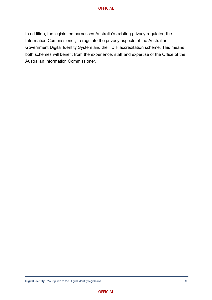In addition, the legislation harnesses Australia's existing privacy regulator, the Information Commissioner, to regulate the privacy aspects of the Australian Government Digital Identity System and the TDIF accreditation scheme. This means both schemes will benefit from the experience, staff and expertise of the Office of the Australian Information Commissioner.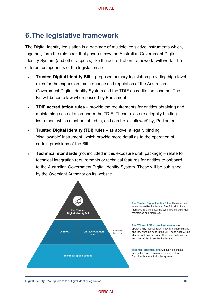# <span id="page-10-0"></span>**6.The legislative framework**

The Digital Identity legislation is a package of multiple legislative instruments which. together, form the rule book that governs how the Australian Government Digital Identity System (and other aspects, like the accreditation framework) will work. The different components of the legislation are:

- **Trusted Digital Identity Bill** proposed primary legislation providing high-level rules for the expansion, maintenance and regulation of the Australian Government Digital Identity System and the TDIF accreditation scheme. The Bill will become law when passed by Parliament.
- **TDIF accreditation rules** provide the requirements for entities obtaining and maintaining accreditation under the TDIF. These rules are a legally binding instrument which must be tabled in, and can be 'disallowed' by, Parliament.
- **Trusted Digital Identity (TDI) rules** as above, a legally binding, 'disallowable' instrument, which provide more detail as to the operation of certain provisions of the Bill.
- **Technical standards** (not included in this exposure draft package) relate to technical integration requirements or technical features for entities to onboard to the Australian Government Digital Identity System. These will be published by the Oversight Authority on its website.



#### **Digital Identity |** Your guide to the Digital Identity legislation **10**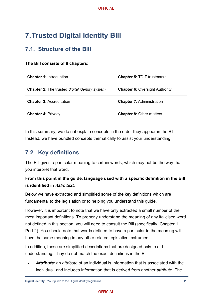# <span id="page-11-0"></span>**7.Trusted Digital Identity Bill**

### <span id="page-11-1"></span>**7.1. Structure of the Bill**

#### **The Bill consists of 8 chapters:**

| <b>Chapter 1: Introduction</b>                               | <b>Chapter 5: TDIF trustmarks</b>     |
|--------------------------------------------------------------|---------------------------------------|
| <b>Chapter 2:</b> The trusted <i>digital identity system</i> | <b>Chapter 6: Oversight Authority</b> |
| <b>Chapter 3: Accreditation</b>                              | <b>Chapter 7: Administration</b>      |
| <b>Chapter 4: Privacy</b>                                    | <b>Chapter 8: Other matters</b>       |

In this summary, we do not explain concepts in the order they appear in the Bill. Instead, we have bundled concepts thematically to assist your understanding.

### <span id="page-11-2"></span>**7.2. Key definitions**

The Bill gives a particular meaning to certain words, which may not be the way that you interpret that word.

#### **From this point in the guide, language used with a specific definition in the Bill is identified in** *italic text.*

Below we have extracted and simplified some of the key definitions which are fundamental to the legislation or to helping you understand this guide.

However, it is important to note that we have only extracted a small number of the most important definitions. To properly understand the meaning of any italicised word not defined in this section, you will need to consult the Bill (specifically, Chapter 1, Part 2). You should note that words defined to have a particular in the meaning will have the same meaning in any other related legislative instrument.

In addition, these are simplified descriptions that are designed only to aid understanding. They do not match the exact definitions in the Bill.

• *Attribute*: an *attribute* of an individual is information that is associated with the individual, and includes information that is derived from another *attribute*. The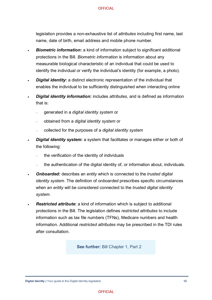legislation provides a non-exhaustive list of *attributes* including first name, last name, date of birth, email address and mobile phone number.

- **Biometric information:** a kind of information subject to significant additional protections in the Bill. *Biometric information* is information about any measurable biological characteristic of an individual that could be used to identify the individual or verify the individual's identity (for example, a photo).
- **Digital identity:** a distinct electronic representation of the individual that enables the individual to be sufficiently distinguished when interacting online
- *Digital identity information***:** includes *attributes*, and is defined as information that is:
	- <sup>−</sup> generated in a *digital identity system* or
	- <sup>−</sup> obtained from a *digital identity system* or
	- <sup>−</sup> collected for the purposes of a *digital identity system*
- *Digital identity system***:** a system that facilitates or manages either or both of the following:
	- the verification of the identity of individuals
	- the authentication of the digital identity of, or information about, individuals.
- *Onboarded:* describes an *entity* which is connected to the *trusted digital identity system*. The definition of *onboarded* prescribes specific circumstances when an *entity* will be considered connected to the *trusted digital identity system.*
- *Restricted attribute***:** a kind of information which is subject to additional protections in the Bill. The legislation defines *restricted attributes* to include information such as tax file numbers (TFNs), Medicare numbers and health information. Additional *restricted attributes* may be prescribed in the TDI rules after consultation.

**See further:** Bill Chapter 1, Part 2

**Digital Identity I** Your guide to the Digital Identity legislation **12**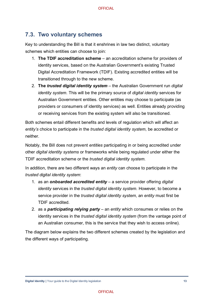### <span id="page-13-0"></span>**7.3. Two voluntary schemes**

Key to understanding the Bill is that it enshrines in law two distinct, voluntary schemes which entities can choose to join:

- 1. **The TDIF accreditation scheme** an accreditation scheme for providers of identity services, based on the Australian Government's existing Trusted Digital Accreditation Framework (TDIF). Existing accredited entities will be transitioned through to the new scheme.
- 2. **The** *trusted digital identity system* the Australian Government run *digital identity system*. This will be the primary source of *digital identity* services for Australian Government entities. Other entities may choose to participate (as providers or consumers of identity services) as well. Entities already providing or receiving services from the existing system will also be transitioned.

Both schemes entail different benefits and levels of regulation which will affect an *entity's* choice to participate in the *trusted digital identity system*, be accredited or neither.

Notably, the Bill does not prevent *entities* participating in or being accredited under other *digital identity systems* or frameworks while being regulated under either the TDIF accreditation scheme or the *trusted digital identity system*.

In addition, there are two different ways an *entity* can choose to participate in the *trusted digital identity system*:

- 1. as an *onboarded accredited entity* a service provider offering *digital identity* services in the *trusted digital identity system*. However, to become a service provider in the *trusted digital identity system*, an *entity* must first be TDIF accredited.
- 2. as a *participating relying party* an *entity* which consumes or relies on the identity services in the *trusted digital identity system* (from the vantage point of an Australian consumer, this is the service that they wish to access online).

The diagram below explains the two different schemes created by the legislation and the different ways of participating.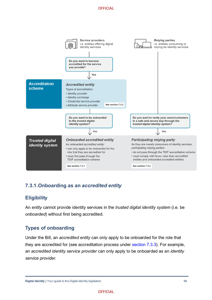

#### **7.3.1.Onboarding as an** *accredited entity*

#### **Eligibility**

An *entity* cannot provide identity services in the *trusted digital identity system* (i.e. be *onboarded*) without first being accredited.

#### **Types of onboarding**

Under the Bill, an *accredited entity* can only apply to be onboarded for the role that they are accredited for (see accreditation process under [section 7.3.3\)](#page-17-0). For example, an *accredited identity service provider* can only apply to be onboarded as an *identity service provider*.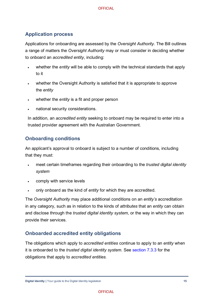#### **Application process**

Applications for onboarding are assessed by the *Oversight Authority*. The Bill outlines a range of matters the *Oversight Authority* may or must consider in deciding whether to onboard an *accredited entity*, including:

- whether the *entity* will be able to comply with the technical standards that apply to it
- whether the Oversight Authority is satisfied that it is appropriate to approve the *entity*
- whether the *entity* is a fit and proper person
- national security considerations.

In addition, an *accredited entity* seeking to onboard may be required to enter into a trusted provider agreement with the Australian Government.

#### **Onboarding conditions**

An applicant's approval to onboard is subject to a number of conditions, including that they must:

- meet certain timeframes regarding their onboarding to the *trusted digital identity system*
- comply with service levels
- only onboard as the kind of *entity* for which they are accredited.

The *Oversight Authority* may place additional conditions on an *entity's* accreditation in any category, such as in relation to the kinds of *attributes* that an *entity* can obtain and disclose through the *trusted digital identity system*, or the way in which they can provide their services.

#### **Onboarded accredited entity obligations**

The obligations which apply to *accredited entities* continue to apply to an *entity* when it is onboarded to the *trusted digital identity system*. See [section 7.3.3](#page-17-0) for the obligations that apply to *accredited entities.*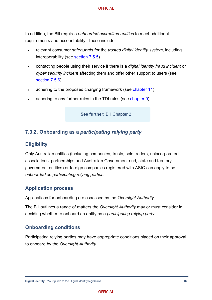In addition, the Bill requires *onboarded accredited entities* to meet additional requirements and accountability. These include:

- relevant consumer safeguards for the *trusted digital identity system*, including interoperability (see [section 7.5.5\)](#page-28-0)
- contacting people using their service if there is a *digital identity fraud incident* or *cyber security incident* affecting them and offer other support to users (see [section 7.5.6\)](#page-28-1)
- adhering to the proposed charging framework (see [chapter 11\)](#page-44-0)
- adhering to any further rules in the TDI rules (see [chapter 9\)](#page-39-0).

**See further:** Bill Chapter 2

#### **7.3.2. Onboarding as a** *participating relying party*

#### **Eligibility**

Only Australian entities (including companies, trusts, sole traders, unincorporated associations, partnerships and Australian Government and, state and territory government entities) or foreign companies registered with ASIC can apply to be *onboarded* as *participating relying parties*.

#### **Application process**

Applications for onboarding are assessed by the *Oversight Authority*.

The Bill outlines a range of matters the *Oversight Authority* may or must consider in deciding whether to onboard an entity as a *participating relying party*.

#### **Onboarding conditions**

Participating relying parties may have appropriate conditions placed on their approval to onboard by the *Oversight Authority*.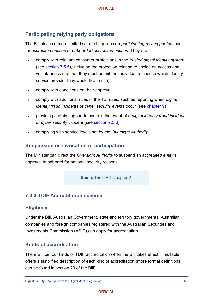#### **Participating relying party obligations**

The Bill places a more limited set of obligations on *participating relying parties* than for *accredited entities* or *onboarded accredited entities*. They are:

- comply with relevant consumer protections in the *trusted digital identity system* (see [section 7.5.5\)](#page-28-0), including the protection relating to choice on access and voluntariness (i.e. that they must permit the individual to choose which identity service provider they would like to use)
- comply with conditions on their approval
- comply with additional rules in the TDI rules, such as reporting when *digital identity fraud incidents* or *cyber security events* occur (see [chapter 9\)](#page-39-0)
- providing certain support to users in the event of a *digital identity fraud incident* or *cyber security incident* (see section [7.5.6\)](#page-28-1)
- complying with service levels set by the *Oversight Authority*.

#### **Suspension or revocation of participation**

The Minister can direct the *Oversight Authority* to suspend an *accredited entity's* approval to onboard for national security reasons.

**See further:** Bill Chapter 2

#### <span id="page-17-0"></span>**7.3.3.TDIF Accreditation scheme**

#### **Eligibility**

Under the Bill, Australian Government, state and territory governments, Australian companies and foreign companies registered with the Australian Securities and Investments Commission (ASIC) can apply for accreditation.

#### **Kinds of accreditation**

There will be four kinds of TDIF accreditation when the Bill takes effect. This table offers a simplified description of each kind of accreditation (more formal definitions can be found in section 20 of the Bill):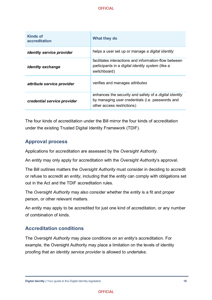| Kinds of<br>accreditation        | What they do                                                                                                                                    |
|----------------------------------|-------------------------------------------------------------------------------------------------------------------------------------------------|
| <i>identity service provider</i> | helps a user set up or manage a <i>digital identity</i>                                                                                         |
| <i>identity exchange</i>         | facilitates interactions and information-flow between<br>participants in a <i>digital identity system</i> (like a<br>switchboard)               |
| attribute service provider       | verifies and manages attributes                                                                                                                 |
| credential service provider      | enhances the security and safety of a <i>digital identity</i><br>by managing user credentials (i.e. passwords and<br>other access restrictions) |

The four kinds of accreditation under the Bill mirror the four kinds of accreditation under the existing Trusted Digital Identity Framework (TDIF).

#### **Approval process**

Applications for accreditation are assessed by the *Oversight Authority*.

An *entity* may only apply for accreditation with the *Oversight Authority*'s approval.

The Bill outlines matters the *Oversight Authority* must consider in deciding to accredit or refuse to accredit an *entity*, including that the *entity* can comply with obligations set out in the Act and the TDIF accreditation rules.

The *Oversight Authority* may also consider whether the *entity* is a fit and proper person, or other relevant matters.

An *entity* may apply to be accredited for just one kind of accreditation, or any number of combination of kinds.

#### **Accreditation conditions**

The *Oversight Authority* may place conditions on an *entity*'s accreditation. For example, the Oversight Authority may place a limitation on the levels of identity proofing that an *identity service provider* is allowed to undertake.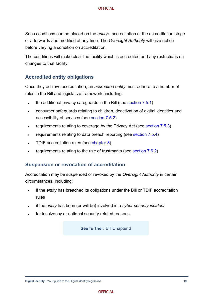Such conditions can be placed on the *entity*'s accreditation at the accreditation stage or afterwards and modified at any time. The *Oversight Authority* will give notice before varying a condition on accreditation.

The conditions will make clear the facility which is accredited and any restrictions on changes to that facility.

#### **Accredited entity obligations**

Once they achieve accreditation, an *accredited entity* must adhere to a number of rules in the Bill and legislative framework, including:

- the additional privacy safeguards in the Bill (see [section 7.5.1\)](#page-23-1)
- consumer safeguards relating to children, deactivation of digital identities and accessibility of services (see [section 7.5.2\)](#page-26-0)
- requirements relating to coverage by the Privacy Act (see [section 7.5.3\)](#page-26-1)
- requirements relating to data breach reporting (see [section 7.5.4\)](#page-27-0)
- TDIF accreditation rules (see [chapter 8\)](#page-34-0)
- requirements relating to the use of trustmarks (see [section 7.6.2\)](#page-30-1)

#### **Suspension or revocation of accreditation**

Accreditation may be suspended or revoked by the *Oversight Authority* in certain circumstances, including:

- if the *entity* has breached its obligations under the Bill or TDIF accreditation rules
- if the *entity* has been (or will be) involved in a *cyber security incident*
- for insolvency or national security related reasons.

**See further:** Bill Chapter 3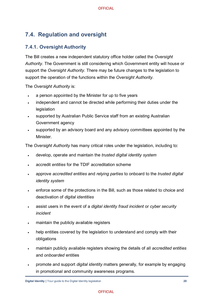### <span id="page-20-0"></span>**7.4. Regulation and oversight**

#### **7.4.1. Oversight Authority**

The Bill creates a new independent statutory office holder called the *Oversight Authority*. The Government is still considering which Government entity will house or support the *Oversight Authority.* There may be future changes to the legislation to support the operation of the functions within the *Oversight Authority*.

The *Oversight Authority* is:

- a person appointed by the Minister for up to five years
- independent and cannot be directed while performing their duties under the legislation
- supported by Australian Public Service staff from an existing Australian Government agency
- supported by an advisory board and any advisory committees appointed by the Minister.

The *Oversight Authority* has many critical roles under the legislation, including to:

- develop, operate and maintain the *trusted digital identity system*
- accredit *entities* for the TDIF accreditation scheme
- approve *accredited entities* and *relying parties* to onboard to the *trusted digital identity system*
- enforce some of the protections in the Bill, such as those related to choice and deactivation of *digital identities*
- assist users in the event of a *digital identity fraud incident* or *cyber security incident*
- maintain the publicly available registers
- help entities covered by the legislation to understand and comply with their obligations
- maintain publicly available registers showing the details of all *accredited entities* and *onboarded* entities
- promote and support *digital identity* matters generally, for example by engaging in promotional and community awareness programs.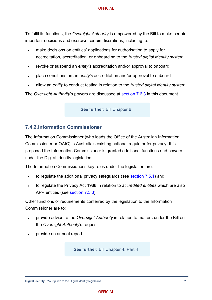To fulfil its functions, the *Oversight Authority* is empowered by the Bill to make certain important decisions and exercise certain discretions, including to:

- make decisions on entities' applications for authorisation to apply for accreditation, accreditation, or onboarding to the *trusted digital identity system*
- revoke or suspend an *entity's* accreditation and/or approval to onboard
- place conditions on an *entity's* accreditation and/or approval to onboard
- allow an *entity* to conduct testing in relation to the *trusted digital identity system*.

The *Oversight Authority*'s powers are discussed at [section 7.6.3](#page-31-0) in this document.

**See further:** Bill Chapter 6

#### **7.4.2.Information Commissioner**

The Information Commissioner (who leads the Office of the Australian Information Commissioner or OAIC) is Australia's existing national regulator for privacy. It is proposed the Information Commissioner is granted additional functions and powers under the Digital Identity legislation.

The Information Commissioner's key roles under the legislation are:

- to regulate the additional privacy safeguards (see [section 7.5.1\)](#page-23-1) and
- to regulate the Privacy Act 1988 in relation to *accredited entities* which are also APP entities (see [section 7.5.3\)](#page-26-1).

Other functions or requirements conferred by the legislation to the Information Commissioner are to:

- provide advice to the *Oversight Authority* in relation to matters under the Bill on the *Oversight Authority*'s request
- provide an annual report.

See further: Bill Chapter 4, Part 4

**Digital Identity I** Your guide to the Digital Identity legislation **21 21**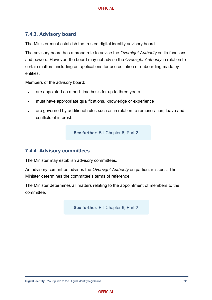#### **7.4.3. Advisory board**

The Minister must establish the trusted digital identity advisory board.

The advisory board has a broad role to advise the *Oversight Authority* on its functions and powers. However, the board may not advise the *Oversight Authority* in relation to certain matters, including on applications for accreditation or onboarding made by entities.

Members of the advisory board:

- are appointed on a part-time basis for up to three years
- must have appropriate qualifications, knowledge or experience
- are governed by additional rules such as in relation to remuneration, leave and conflicts of interest.

**See further:** Bill Chapter 6, Part 2

#### **7.4.4. Advisory committees**

The Minister may establish advisory committees.

An advisory committee advises the *Oversight Authority* on particular issues. The Minister determines the committee's terms of reference.

The Minister determines all matters relating to the appointment of members to the committee.

**See further:** Bill Chapter 6, Part 2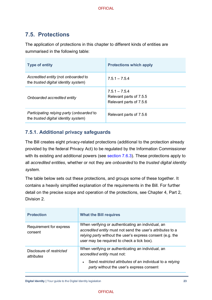### <span id="page-23-0"></span>**7.5. Protections**

The application of protections in this chapter to different kinds of entities are summarised in the following table:

| <b>Type of entity</b>                                                                     | <b>Protections which apply</b>                                        |
|-------------------------------------------------------------------------------------------|-----------------------------------------------------------------------|
| Accredited entity (not onboarded to<br>the <i>trusted digital identity system</i> )       | $7.5.1 - 7.5.4$                                                       |
| Onboarded accredited entity                                                               | $7.5.1 - 7.5.4$<br>Relevant parts of 7.5.5<br>Relevant parts of 7.5.6 |
| Participating relying party (onboarded to<br>the <i>trusted digital identity system</i> ) | Relevant parts of 7.5.6                                               |

#### <span id="page-23-1"></span>**7.5.1. Additional privacy safeguards**

The Bill creates eight privacy-related protections (additional to the protection already provided by the federal Privacy Act) to be regulated by the Information Commissioner with its existing and additional powers (see [section 7.6.3\)](#page-31-0). These protections apply to all *accredited entities*, whether or not they are *onboarded* to the *trusted digital identity system*.

The table below sets out these protections, and groups some of these together. It contains a heavily simplified explanation of the requirements in the Bill. For further detail on the precise scope and operation of the protections, see Chapter 4, Part 2, Division 2.

| <b>Protection</b>                      | <b>What the Bill requires</b>                                                                                                                                                                                                |  |
|----------------------------------------|------------------------------------------------------------------------------------------------------------------------------------------------------------------------------------------------------------------------------|--|
| Requirement for express<br>consent     | When verifying or authenticating an individual, an<br>accredited entity must not send the user's attributes to a<br>relying party without the user's express consent (e.g. the<br>user may be required to check a tick box). |  |
| Disclosure of restricted<br>attributes | When verifying or authenticating an individual, an<br>accredited entity must not:                                                                                                                                            |  |
|                                        | Send restricted attributes of an individual to a relying<br>party without the user's express consent                                                                                                                         |  |

**Digital Identity |** Your guide to the Digital Identity legislation **23**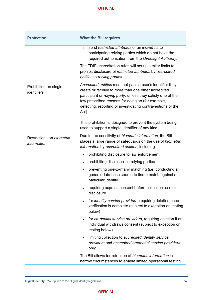| <b>Protection</b>                        | <b>What the Bill requires</b>                                                                                                                                                                                                                                                                                                                                                                                                  |  |
|------------------------------------------|--------------------------------------------------------------------------------------------------------------------------------------------------------------------------------------------------------------------------------------------------------------------------------------------------------------------------------------------------------------------------------------------------------------------------------|--|
|                                          | send restricted attributes of an individual to<br>participating relying parties which do not have the<br>required authorisation from the Oversight Authority.                                                                                                                                                                                                                                                                  |  |
|                                          | The TDIF accreditation rules will set up similar limits to<br>prohibit disclosure of restricted attributes by accredited<br>entities to relying parties.                                                                                                                                                                                                                                                                       |  |
| Prohibition on single<br>identifiers     | Accredited entities must not pass a user's identifier they<br>create or receive to more than one other accredited<br>participant or relying party, unless they satisfy one of the<br>few prescribed reasons for doing so (for example,<br>detecting, reporting or investigating contraventions of the<br>Act).<br>This prohibition is designed to prevent the system being<br>used to support a single identifier of any kind. |  |
| Restrictions on biometric<br>information | Due to the sensitivity of biometric information, the Bill<br>places a large range of safeguards on the use of biometric<br>information by accredited entities, including:                                                                                                                                                                                                                                                      |  |
|                                          | prohibiting disclosure to law enforcement                                                                                                                                                                                                                                                                                                                                                                                      |  |
|                                          | prohibiting disclosure to relying parties<br>$\bullet$                                                                                                                                                                                                                                                                                                                                                                         |  |
|                                          | preventing one-to-many matching (i.e. conducting a<br>general data base search to find a match against a<br>particular identity)                                                                                                                                                                                                                                                                                               |  |
|                                          | requiring express consent before collection, use or<br>disclosure                                                                                                                                                                                                                                                                                                                                                              |  |
|                                          | for <i>identity</i> service providers, requiring deletion once<br>verification is complete (subject to exception on testing<br>below)                                                                                                                                                                                                                                                                                          |  |
|                                          | for credential service providers, requiring deletion if an<br>individual withdraws consent (subject to exception on<br>testing below)                                                                                                                                                                                                                                                                                          |  |
|                                          | limiting collection to accredited identity service<br>$\bullet$<br>providers and accredited credential service providers<br>only.                                                                                                                                                                                                                                                                                              |  |
|                                          | The Bill allows for retention of biometric information in<br>narrow circumstances to enable limited operational testing                                                                                                                                                                                                                                                                                                        |  |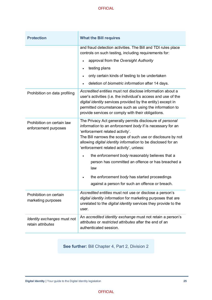| <b>Protection</b>                                  | <b>What the Bill requires</b>                                                                                                                                                                                                                                                                                                      |  |  |
|----------------------------------------------------|------------------------------------------------------------------------------------------------------------------------------------------------------------------------------------------------------------------------------------------------------------------------------------------------------------------------------------|--|--|
|                                                    | and fraud detection activities. The Bill and TDI rules place<br>controls on such testing, including requirements for:                                                                                                                                                                                                              |  |  |
|                                                    | approval from the Oversight Authority                                                                                                                                                                                                                                                                                              |  |  |
|                                                    | testing plans<br>$\bullet$                                                                                                                                                                                                                                                                                                         |  |  |
|                                                    | only certain kinds of testing to be undertaken                                                                                                                                                                                                                                                                                     |  |  |
|                                                    | deletion of biometric information after 14 days.                                                                                                                                                                                                                                                                                   |  |  |
| Prohibition on data profiling                      | Accredited entities must not disclose information about a<br>user's activities (i.e. the individual's access and use of the<br>digital identity services provided by the entity) except in<br>permitted circumstances such as using the information to<br>provide services or comply with their obligations.                       |  |  |
| Prohibition on certain law<br>enforcement purposes | The Privacy Act generally permits disclosure of personal<br>information to an enforcement body if is necessary for an<br>'enforcement related activity'.<br>The Bill narrows the scope of such use or disclosure by not<br>allowing digital identity information to be disclosed for an<br>'enforcement related activity', unless: |  |  |
|                                                    | the enforcement body reasonably believes that a<br>person has committed an offence or has breached a<br>law                                                                                                                                                                                                                        |  |  |
|                                                    | the enforcement body has started proceedings<br>against a person for such an offence or breach.                                                                                                                                                                                                                                    |  |  |
| Prohibition on certain<br>marketing purposes       | Accredited entities must not use or disclose a person's<br>digital identity information for marketing purposes that are<br>unrelated to the digital identity services they provide to the<br>user.                                                                                                                                 |  |  |
| Identity exchanges must not<br>retain attributes   | An accredited identity exchange must not retain a person's<br>attributes or restricted attributes after the end of an<br>authenticated session.                                                                                                                                                                                    |  |  |

**See further:** Bill Chapter 4, Part 2, Division 2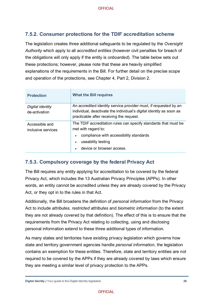#### <span id="page-26-0"></span>**7.5.2. Consumer protections for the TDIF accreditation scheme**

The legislation creates three additional safeguards to be regulated by the *Oversight Authority* which apply to all *accredited entities* (however civil penalties for breach of the obligations will only apply if the entity is *onboarded*). The table below sets out these protections; however, please note that these are heavily simplified explanations of the requirements in the Bill. For further detail on the precise scope and operation of the protections, see Chapter 4, Part 2, Division 2.

| <b>Protection</b>                    | <b>What the Bill requires</b>                                                                                                                                                                                               |
|--------------------------------------|-----------------------------------------------------------------------------------------------------------------------------------------------------------------------------------------------------------------------------|
| Digital identity<br>de-activation    | An accredited identity service provider must, if requested by an<br>individual, deactivate the individual's <i>digital identity</i> as soon as<br>practicable after receiving the request.                                  |
| Accessible and<br>inclusive services | The TDIF accreditation rules can specify standards that must be<br>met with regard to:<br>compliance with accessibility standards<br>$\bullet$<br>useability testing<br>$\bullet$<br>device or browser access.<br>$\bullet$ |

#### <span id="page-26-1"></span>**7.5.3. Compulsory coverage by the federal Privacy Act**

The Bill requires any entity applying for accreditation to be covered by the federal Privacy Act, which includes the 13 Australian Privacy Principles (APPs). In other words, an entity cannot be accredited unless they are already covered by the Privacy Act, or they opt in to the rules in that Act.

Additionally, the Bill broadens the definition of *personal information* from the Privacy Act to include *attributes, restricted attributes* and *biometric information* (to the extent they are not already covered by that definition)*.* The effect of this is to ensure that the requirements from the Privacy Act relating to collecting, using and disclosing personal information extend to these three additional types of information.

As many states and territories have existing privacy legislation which governs how state and territory government agencies handle *personal information*, the legislation contains an exemption for these entities. Therefore, state and territory entities are not required to be covered by the APPs if they are already covered by laws which ensure they are meeting a similar level of privacy protection to the APPs.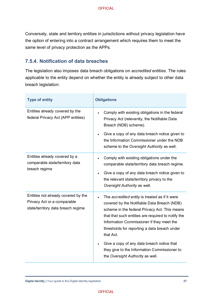Conversely, state and territory entities in jurisdictions without privacy legislation have the option of entering into a contract arrangement which requires them to meet the same level of privacy protection as the APPs.

#### <span id="page-27-0"></span>**7.5.4. Notification of data breaches**

The legislation also imposes data breach obligations on *accredited entities*. The rules applicable to the entity depend on whether the entity is already subject to other data breach legislation:

| <b>Type of entity</b>                                                                                    | <b>Obligations</b>                                                                                                                                                                                                                                                                                             |  |  |
|----------------------------------------------------------------------------------------------------------|----------------------------------------------------------------------------------------------------------------------------------------------------------------------------------------------------------------------------------------------------------------------------------------------------------------|--|--|
| Entities already covered by the<br>federal Privacy Act (APP entities)                                    | Comply with existing obligations in the federal<br>Privacy Act (relevantly, the Notifiable Data<br>Breach (NDB) scheme).<br>Give a copy of any data breach notice given to<br>the Information Commissioner under the NDB<br>scheme to the Oversight Authority as well.                                         |  |  |
| Entities already covered by a<br>comparable state/territory data<br>breach regime                        | Comply with existing obligations under the<br>$\bullet$<br>comparable state/territory data breach regime.<br>Give a copy of any data breach notice given to<br>the relevant state/territory privacy to the<br>Oversight Authority as well.                                                                     |  |  |
| Entities not already covered by the<br>Privacy Act or a comparable<br>state/territory data breach regime | The accredited entity is treated as if it were<br>covered by the Notifiable Data Breach (NDB)<br>scheme in the federal Privacy Act. This means<br>that that such entities are required to notify the<br>Information Commissioner if they meet the<br>thresholds for reporting a data breach under<br>that Act. |  |  |
|                                                                                                          | Give a copy of any data breach notice that<br>they give to the Information Commissioner to<br>the Oversight Authority as well.                                                                                                                                                                                 |  |  |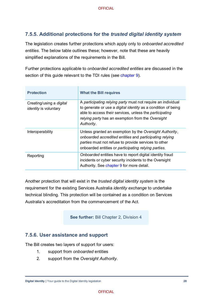#### <span id="page-28-0"></span>**7.5.5. Additional protections for the** *trusted digital identity system*

The legislation creates further protections which apply only to *onboarded accredited entities*. The below table outlines these; however, note that these are heavily simplified explanations of the requirements in the Bill.

Further protections applicable to *onboarded accredited entities* are discussed in the section of this guide relevant to the TDI rules (see [chapter 9\)](#page-39-0).

| <b>Protection</b>                                        | <b>What the Bill requires</b>                                                                                                                                                                                                                                      |
|----------------------------------------------------------|--------------------------------------------------------------------------------------------------------------------------------------------------------------------------------------------------------------------------------------------------------------------|
| Creating/using a digital<br><i>identity</i> is voluntary | A participating relying party must not require an individual<br>to generate or use a <i>digital identity</i> as a condition of being<br>able to access their services, unless the participating<br>relying party has an exemption from the Oversight<br>Authority. |
| Interoperability                                         | Unless granted an exemption by the Oversight Authority,<br>onboarded accredited entities and participating relying<br>parties must not refuse to provide services to other<br>onboarded entities or participating relying parties.                                 |
| Reporting                                                | Onboarded entities have to report digital identity fraud<br>incidents or cyber security incidents to the Oversight<br>Authority. See chapter 9 for more detail.                                                                                                    |

Another protection that will exist in the *trusted digital identity system* is the requirement for the existing Services Australia *identity exchange* to undertake technical blinding. This protection will be contained as a condition on Services Australia's accreditation from the commencement of the Act.

**See further:** Bill Chapter 2, Division 4

#### <span id="page-28-1"></span>**7.5.6. User assistance and support**

The Bill creates two layers of support for users:

- 1. support from *onboarded* entities
- 2. support from the *Oversight Authority*.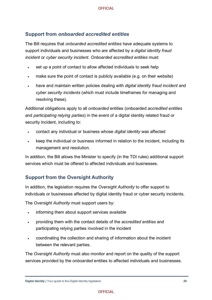#### **Support from** *onboarded accredited entities*

The Bill requires that *onboarded accredited entities* have adequate systems to support individuals and businesses who are affected by a *digital identity fraud incident* or *cyber security incident*. *Onboarded accredited entities* must:

- set up a point of contact to allow affected individuals to seek help
- make sure the point of contact is publicly available (e.g. on their website)
- have and maintain written policies dealing with *digital identity fraud incident* and *cyber security incidents* (which must include timeframes for managing and resolving these).

Additional obligations apply to all *onboarded* entities (onboarded *accredited entities* and *participating relying parties*) in the event of a digital identity related fraud or security incident, including to:

- contact any individual or business whose *digital identity* was affected
- keep the individual or business informed in relation to the incident, including its management and resolution.

In addition, the Bill allows the Minister to specify (in the TDI rules) additional support services which must be offered to affected individuals and businesses.

#### **Support from the Oversight Authority**

In addition, the legislation requires the *Oversight Authority* to offer support to individuals or businesses affected by digital identity fraud or cyber security incidents.

The *Oversight Authority* must support users by:

- informing them about support services available
- providing them with the contact details of the *accredited entities* and participating relying parties involved in the incident
- coordinating the collection and sharing of information about the incident between the relevant parties.

The *Oversight Authority* must also monitor and report on the quality of the support services provided by the *onboarded* entities to affected individuals and businesses.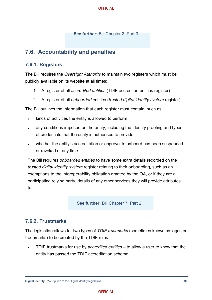**See further:** Bill Chapter 2, Part 3

### <span id="page-30-0"></span>**7.6. Accountability and penalties**

#### **7.6.1. Registers**

The Bill requires the *Oversight Authority* to maintain two registers which must be publicly available on its website at all times:

- 1. A register of all *accredited entities* (TDIF accredited entities register)
- 2. A register of all *onboarded* entities (*trusted digital identity system* register)

The Bill outlines the information that each register must contain, such as:

- kinds of activities the entity is allowed to perform
- any conditions imposed on the entity, including the identity proofing and types of credentials that the entity is authorised to provide
- whether the entity's accreditation or approval to onboard has been suspended or revoked at any time.

The Bill requires *onboarded entities* to have some extra details recorded on the *trusted digital identity system* register relating to their onboarding, such as an exemptions to the interoperability obligation granted by the OA, or if they are a participating relying party, details of any other services they will provide attributes to.

**See further:** Bill Chapter 7, Part 2

#### <span id="page-30-1"></span>**7.6.2. Trustmarks**

The legislation allows for two types of *TDIF trustmarks* (sometimes known as logos or trademarks) to be created by the TDIF rules:

• TDIF trustmarks for use by *accredited entities* – to allow a user to know that the entity has passed the TDIF accreditation scheme.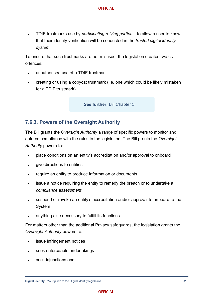• TDIF trustmarks use by *participating relying parties* – to allow a user to know that their identity verification will be conducted in the *trusted digital identity system*.

To ensure that such trustmarks are not misused, the legislation creates two civil offences:

- unauthorised use of a TDIF trustmark
- creating or using a copycat trustmark (i.e. one which could be likely mistaken for a TDIF trustmark).

**See further:** Bill Chapter 5

#### <span id="page-31-0"></span>**7.6.3. Powers of the Oversight Authority**

The Bill grants the *Oversight Authority* a range of specific powers to monitor and enforce compliance with the rules in the legislation. The Bill grants the *Oversight Authority* powers to:

- place conditions on an entity's accreditation and/or approval to onboard
- give directions to entities
- require an entity to produce information or documents
- issue a notice requiring the entity to remedy the breach or to undertake a *compliance assessment*
- suspend or revoke an entity's accreditation and/or approval to onboard to the System
- anything else necessary to fulfill its functions.

For matters other than the additional Privacy safeguards, the legislation grants the *Oversight Authority* powers to:

- issue infringement notices
- seek enforceable undertakings
- seek injunctions and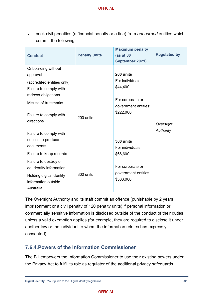• seek civil penalties (a financial penalty or a fine) from *onboarded* entities which commit the following:

| <b>Conduct</b>                                                              | <b>Penalty units</b> | <b>Maximum penalty</b><br>(as at 30<br>September 2021) | <b>Regulated by</b> |
|-----------------------------------------------------------------------------|----------------------|--------------------------------------------------------|---------------------|
| Onboarding without<br>approval                                              |                      | 200 units                                              |                     |
| (accredited entities only)<br>Failure to comply with<br>redress obligations |                      | For individuals:<br>\$44,400                           | Oversight           |
| Misuse of trustmarks                                                        |                      | For corporate or<br>government entities:               |                     |
| Failure to comply with<br>directions                                        | 200 units            | \$222,000                                              |                     |
| Failure to comply with<br>notices to produce<br>documents                   |                      | 300 units<br>For individuals:                          | Authority           |
| Failure to keep records                                                     |                      | \$66,600                                               |                     |
| Failure to destroy or<br>de-identify information                            |                      | For corporate or                                       |                     |
| Holding digital identity<br>information outside<br>Australia                | 300 units            | government entities:<br>\$333,000                      |                     |

The Oversight Authority and its staff commit an offence (punishable by 2 years' imprisonment or a civil penalty of 120 penalty units) if personal information or commercially sensitive information is disclosed outside of the conduct of their duties unless a valid exemption applies (for example, they are required to disclose it under another law or the individual to whom the information relates has expressly consented).

#### **7.6.4.Powers of the Information Commissioner**

The Bill empowers the Information Commissioner to use their existing powers under the Privacy Act to fulfil its role as regulator of the additional privacy safeguards.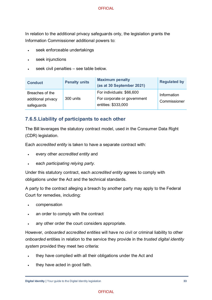In relation to the additional privacy safeguards only, the legislation grants the Information Commissioner additional powers to:

- seek enforceable undertakings
- seek injunctions
- seek civil penalties see table below.

| <b>Conduct</b>                                      | <b>Penalty units</b> | <b>Maximum penalty</b><br>(as at 30 September 2021)                             | <b>Regulated by</b>         |
|-----------------------------------------------------|----------------------|---------------------------------------------------------------------------------|-----------------------------|
| Breaches of the<br>additional privacy<br>safeguards | 300 units            | For individuals: \$66,600<br>For corporate or government<br>entities: \$333,000 | Information<br>Commissioner |

#### **7.6.5.Liability of participants to each other**

The Bill leverages the statutory contract model, used in the Consumer Data Right (CDR) legislation.

Each *accredited entity* is taken to have a separate contract with:

- every other *accredited entity* and
- each *participating relying party*.

Under this statutory contract, each *accredited entity* agrees to comply with obligations under the Act and the technical standards.

A party to the contract alleging a breach by another party may apply to the Federal Court for remedies, including:

- compensation
- an order to comply with the contract
- any other order the court considers appropriate.

However, *onboarded accredited entities* will have no civil or criminal liability to other *onboarded* entities in relation to the service they provide in the *trusted digital identity system* provided they meet two criteria:

- they have complied with all their obligations under the Act and
- they have acted in good faith.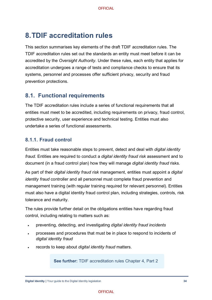# <span id="page-34-0"></span>**8.TDIF accreditation rules**

This section summarises key elements of the draft TDIF accreditation rules. The TDIF accreditation rules set out the standards an entity must meet before it can be accredited by the *Oversight Authority*. Under these rules, each entity that applies for accreditation undergoes a range of tests and compliance checks to ensure that its systems, personnel and processes offer sufficient privacy, security and fraud prevention protections.

### <span id="page-34-1"></span>**8.1. Functional requirements**

The TDIF accreditation rules include a series of functional requirements that all entities must meet to be accredited, including requirements on privacy, fraud control, protective security, user experience and technical testing. Entities must also undertake a series of functional assessments.

#### **8.1.1. Fraud control**

Entities must take reasonable steps to prevent, detect and deal with *digital identity fraud.* Entities are required to conduct a *digital identity fraud risk* assessment and to document (in a fraud control plan) how they will manage *digital identity fraud* risks.

As part of their *digital identity fraud risk* management, entities must appoint a *digital identity fraud* controller and all personnel must complete fraud prevention and management training (with regular training required for relevant personnel)*.* Entities must also have a digital identity fraud control plan, including strategies, controls, risk tolerance and maturity.

The rules provide further detail on the obligations entities have regarding fraud control, including relating to matters such as:

- preventing, detecting, and investigating *digital identity fraud incidents*
- processes and procedures that must be in place to respond to incidents of *digital identity fraud*
- records to keep about *digital identity fraud* matters.

**See further:** TDIF accreditation rules Chapter 4, Part 2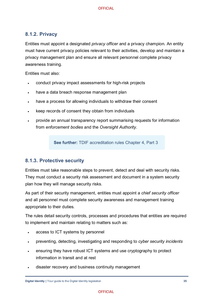#### **8.1.2. Privacy**

Entities must appoint a designated *privacy officer* and a privacy champion*.* An entity must have current privacy policies relevant to their activities, develop and maintain a privacy management plan and ensure all relevant personnel complete privacy awareness training.

Entities must also:

- conduct privacy impact assessments for high-risk projects
- have a data breach response management plan
- have a process for allowing individuals to withdraw their consent
- keep records of consent they obtain from individuals
- provide an annual transparency report summarising requests for information from *enforcement bodies* and the *Oversight Authority*.

**See further:** TDIF accreditation rules Chapter 4, Part 3

#### **8.1.3. Protective security**

Entities must take reasonable steps to prevent, detect and deal with security risks. They must conduct a security risk assessment and document in a system security plan how they will manage security risks.

As part of their security management, entities must appoint a *chief security officer* and all personnel must complete security awareness and management training appropriate to their duties*.*

The rules detail security controls, processes and procedures that entities are required to implement and maintain relating to matters such as:

- access to ICT systems by personnel
- preventing, detecting, investigating and responding to *cyber security incidents*
- ensuring they have robust ICT systems and use cryptography to protect information in transit and at rest
- disaster recovery and business continuity management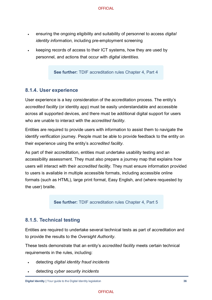- ensuring the ongoing eligibility and suitability of personnel to access *digital identity information*, including pre-employment screening
- keeping records of access to their ICT systems, how they are used by personnel, and actions that occur with *digital identities*.

**See further:** TDIF accreditation rules Chapter 4, Part 4

#### **8.1.4. User experience**

User experience is a key consideration of the accreditation process. The entity's *accredited facility* (or identity app) must be easily understandable and accessible across all supported devices, and there must be additional digital support for users who are unable to interact with the *accredited facility*.

Entities are required to provide users with information to assist them to navigate the identify verification journey. People must be able to provide feedback to the entity on their experience using the entity's *accredited facility*.

As part of their accreditation, entities must undertake usability testing and an accessibility assessment. They must also prepare a journey map that explains how users will interact with their *accredited facility*. They must ensure information provided to users is available in multiple accessible formats, including accessible online formats (such as HTML), large print format, Easy English, and (where requested by the user) braille.

**See further:** TDIF accreditation rules Chapter 4, Part 5

#### **8.1.5. Technical testing**

Entities are required to undertake several technical tests as part of accreditation and to provide the results to the *Oversight Authority*.

These tests demonstrate that an entity's *accredited facility* meets certain technical requirements in the rules, including:

- detecting *digital identity fraud incidents*
- detecting *cyber security incidents*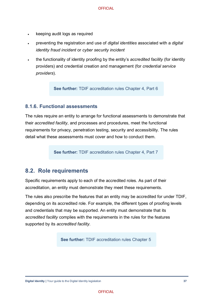- keeping audit logs as required
- preventing the registration and use of *digital identities* associated with a *digital identity fraud incident* or *cyber security incident*
- the functionality of identity proofing by the entity's *accredited facility* (for identity providers) and credential creation and management (for *credential service providers*).

**See further:** TDIF accreditation rules Chapter 4, Part 6

#### **8.1.6. Functional assessments**

The rules require an entity to arrange for functional assessments to demonstrate that their *accredited facility*, and processes and procedures, meet the functional requirements for privacy, penetration testing, security and accessibility. The rules detail what these assessments must cover and how to conduct them.

**See further:** TDIF accreditation rules Chapter 4, Part 7

#### <span id="page-37-0"></span>**8.2. Role requirements**

Specific requirements apply to each of the accredited roles. As part of their accreditation, an entity must demonstrate they meet these requirements.

The rules also prescribe the features that an entity may be accredited for under TDIF, depending on its accredited role. For example, the different types of proofing levels and credentials that may be supported. An entity must demonstrate that its *accredited facility* complies with the requirements in the rules for the features supported by its *accredited facility*.

**See further:** TDIF accreditation rules Chapter 5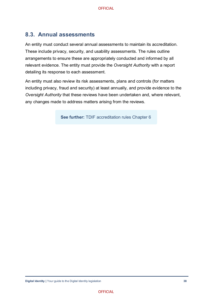### <span id="page-38-0"></span>**8.3. Annual assessments**

An entity must conduct several annual assessments to maintain its accreditation. These include privacy, security, and usability assessments. The rules outline arrangements to ensure these are appropriately conducted and informed by all relevant evidence. The entity must provide the *Oversight Authority* with a report detailing its response to each assessment.

An entity must also review its risk assessments, plans and controls (for matters including privacy, fraud and security) at least annually, and provide evidence to the *Oversight Authority* that these reviews have been undertaken and, where relevant, any changes made to address matters arising from the reviews.

**See further:** TDIF accreditation rules Chapter 6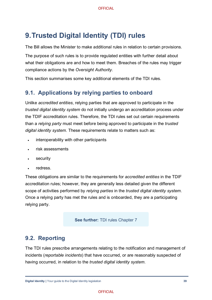# <span id="page-39-0"></span>**9.Trusted Digital Identity (TDI) rules**

The Bill allows the Minister to make additional rules in relation to certain provisions.

The purpose of such rules is to provide regulated entities with further detail about what their obligations are and how to meet them. Breaches of the rules may trigger compliance actions by the *Oversight Authority*.

This section summarises some key additional elements of the TDI rules.

#### <span id="page-39-1"></span>**9.1. Applications by relying parties to onboard**

Unlike *accredited entities*, relying parties that are approved to participate in the *trusted digital identity system* do not initially undergo an accreditation process under the TDIF accreditation rules. Therefore, the TDI rules set out certain requirements than a *relying party* must meet before being approved to participate in the *trusted digital identity system*. These requirements relate to matters such as:

- interoperability with other participants
- risk assessments
- **security**
- redress.

These obligations are similar to the requirements for *accredited entities* in the TDIF accreditation rules; however, they are generally less detailed given the different scope of activities performed by *relying parties* in the *trusted digital identity system*. Once a relying party has met the rules and is onboarded, they are a participating relying party.

**See further:** TDI rules Chapter 7

#### <span id="page-39-2"></span>**9.2. Reporting**

The TDI rules prescribe arrangements relating to the notification and management of incidents (*reportable incidents*) that have occurred, or are reasonably suspected of having occurred, in relation to the *trusted digital identity system*.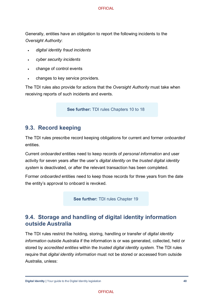Generally, entities have an obligation to report the following incidents to the *Oversight Authority*:

- *digital identity fraud incidents*
- *cyber security incidents*
- change of control events
- changes to key service providers.

The TDI rules also provide for actions that the *Oversight Authority* must take when receiving reports of such incidents and events.

**See further:** TDI rules Chapters 10 to 18

#### <span id="page-40-0"></span>**9.3. Record keeping**

The TDI rules prescribe record keeping obligations for current and former *onboarded* entities.

Current *onboarded* entities need to keep records of *personal information* and user activity for seven years after the user's *digital identity* on the *trusted digital identity system* is deactivated, or after the relevant transaction has been completed.

Former *onboarded* entities need to keep those records for three years from the date the entity's approval to onboard is revoked.

**See further:** TDI rules Chapter 19

### <span id="page-40-1"></span>**9.4. Storage and handling of digital identity information outside Australia**

The TDI rules restrict the holding, storing, handling or transfer of *digital identity information* outside Australia if the information is or was generated, collected, held or stored by *accredited entities* within the *trusted digital identity system*. The TDI rules require that *digital identity information* must not be stored or accessed from outside Australia, unless: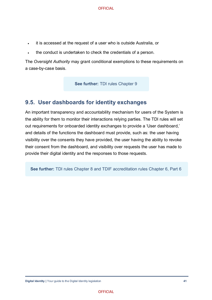- it is accessed at the request of a user who is outside Australia, or
- the conduct is undertaken to check the credentials of a person.

The *Oversight Authority* may grant conditional exemptions to these requirements on a case-by-case basis.

**See further: TDI rules Chapter 9** 

### <span id="page-41-0"></span>**9.5. User dashboards for identity exchanges**

An important transparency and accountability mechanism for users of the System is the ability for them to monitor their interactions relying parties. The TDI rules will set out requirements for onboarded identity exchanges to provide a 'User dashboard,' and details of the functions the dashboard must provide, such as: the user having visibility over the consents they have provided, the user having the ability to revoke their consent from the dashboard, and visibility over requests the user has made to provide their digital identity and the responses to those requests.

**See further:** TDI rules Chapter 8 and TDIF accreditation rules Chapter 6, Part 6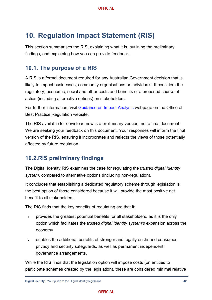# <span id="page-42-0"></span>**10. Regulation Impact Statement (RIS)**

This section summarises the RIS, explaining what it is, outlining the preliminary findings, and explaining how you can provide feedback.

### <span id="page-42-1"></span>**10.1. The purpose of a RIS**

A RIS is a formal document required for any Australian Government decision that is likely to impact businesses, community organisations or individuals. It considers the regulatory, economic, social and other costs and benefits of a proposed course of action (including alternative options) on stakeholders.

For further information, visit [Guidance on Impact Analysis](https://obpr.pmc.gov.au/resources/guidance-impact-analysis) webpage on the Office of Best Practice Regulation website.

The RIS available for download now is a preliminary version, not a final document. We are seeking your feedback on this document. Your responses will inform the final version of the RIS, ensuring it incorporates and reflects the views of those potentially affected by future regulation.

### <span id="page-42-2"></span>**10.2.RIS preliminary findings**

The Digital Identity RIS examines the case for regulating the *trusted digital identity system*, compared to alternative options (including non-regulation).

It concludes that establishing a dedicated regulatory scheme through legislation is the best option of those considered because it will provide the most positive net benefit to all stakeholders.

The RIS finds that the key benefits of regulating are that it:

- provides the greatest potential benefits for all stakeholders, as it is the only option which facilitates the *trusted digital identity system's* expansion across the economy
- enables the additional benefits of stronger and legally enshrined consumer, privacy and security safeguards, as well as permanent independent governance arrangements.

While the RIS finds that the legislation option will impose costs (on entities to participate schemes created by the legislation), these are considered minimal relative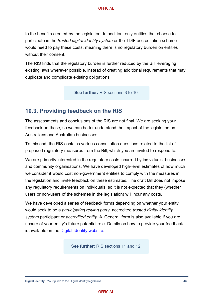to the benefits created by the legislation. In addition, only entities that choose to participate in the *trusted digital identity system* or the TDIF accreditation scheme would need to pay these costs, meaning there is no regulatory burden on entities without their consent.

The RIS finds that the regulatory burden is further reduced by the Bill leveraging existing laws wherever possible, instead of creating additional requirements that may duplicate and complicate existing obligations.

**See further:** RIS sections 3 to 10

#### <span id="page-43-0"></span>**10.3. Providing feedback on the RIS**

The assessments and conclusions of the RIS are not final. We are seeking your feedback on these, so we can better understand the impact of the legislation on Australians and Australian businesses.

To this end, the RIS contains various consultation questions related to the list of proposed regulatory measures from the Bill, which you are invited to respond to.

We are primarily interested in the regulatory costs incurred by individuals, businesses and community organisations. We have developed high-level estimates of how much we consider it would cost non-government entities to comply with the measures in the legislation and invite feedback on these estimates. The draft Bill does not impose any regulatory requirements on individuals, so it is not expected that they (whether users or non-users of the schemes in the legislation) will incur any costs.

We have developed a series of feedback forms depending on whether your entity would seek to be a *participating relying party*, accredited *trusted digital identity system* participant or *accredited entity*. A 'General' form is also available if you are unsure of your entity's future potential role. Details on how to provide your feedback is available on the [Digital Identity website.](https://www.digitalidentity.gov.au/have-your-say/phase-3)

**See further:** RIS sections 11 and 12

**Digital Identity | Your guide to the Digital Identity legislation <b>43 43**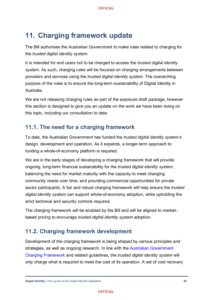# <span id="page-44-0"></span>**11. Charging framework update**

The Bill authorises the Australian Government to make rules related to charging for the *trusted digital identity system*.

It is intended for end users not to be charged to access the *trusted digital identity system*. As such, charging rules will be focused on charging arrangements between providers and services using the *trusted digital identity system.* The overarching purpose of the rules is to ensure the long-term sustainability of Digital Identity in Australia.

We are not releasing charging rules as part of the exposure draft package, however this section is designed to give you an update on the work we have been doing on this topic, including our consultation to date.

### <span id="page-44-1"></span>**11.1. The need for a charging framework**

To date, the Australian Government has funded the *trusted digital identity system's* design, development and operation. As it expands, a longer-term approach to funding a whole-of-economy platform is required.

We are in the early stages of developing a charging framework that will provide ongoing, long-term financial sustainability for the *trusted digital identity system*, balancing the need for market maturity with the capacity to meet changing community needs over time, and providing commercial opportunities for private sector participants. A fair and robust charging framework will help ensure the *trusted digital identity system* can support whole-of-economy adoption, while upholding the strict technical and security controls required.

The charging framework will be enabled by the Bill and will be aligned to marketbased pricing to encourage *trusted digital identity system* adoption.

### <span id="page-44-2"></span>**11.2. Charging framework development**

Development of the charging framework is being shaped by various principles and strategies, as well as ongoing research. In line with the [Australian Government](https://www.finance.gov.au/government/managing-commonwealth-resources/managing-money-property/managing-money/australian-government-charging-framework)  [Charging Framework](https://www.finance.gov.au/government/managing-commonwealth-resources/managing-money-property/managing-money/australian-government-charging-framework) and related guidelines, the *trusted digital identity system* will only charge what is required to meet the cost of its operation. A set of cost recovery